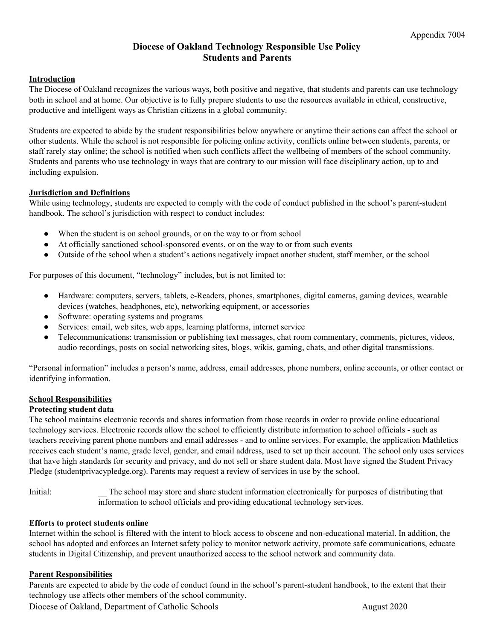# **Diocese of Oakland Technology Responsible Use Policy Students and Parents**

## **Introduction**

The Diocese of Oakland recognizes the various ways, both positive and negative, that students and parents can use technology both in school and at home. Our objective is to fully prepare students to use the resources available in ethical, constructive, productive and intelligent ways as Christian citizens in a global community.

Students are expected to abide by the student responsibilities below anywhere or anytime their actions can affect the school or other students. While the school is not responsible for policing online activity, conflicts online between students, parents, or staff rarely stay online; the school is notified when such conflicts affect the wellbeing of members of the school community. Students and parents who use technology in ways that are contrary to our mission will face disciplinary action, up to and including expulsion.

### **Jurisdiction and Definitions**

While using technology, students are expected to comply with the code of conduct published in the school's parent-student handbook. The school's jurisdiction with respect to conduct includes:

- When the student is on school grounds, or on the way to or from school
- At officially sanctioned school-sponsored events, or on the way to or from such events
- Outside of the school when a student's actions negatively impact another student, staff member, or the school

For purposes of this document, "technology" includes, but is not limited to:

- Hardware: computers, servers, tablets, e-Readers, phones, smartphones, digital cameras, gaming devices, wearable devices (watches, headphones, etc), networking equipment, or accessories
- Software: operating systems and programs
- Services: email, web sites, web apps, learning platforms, internet service
- Telecommunications: transmission or publishing text messages, chat room commentary, comments, pictures, videos, audio recordings, posts on social networking sites, blogs, wikis, gaming, chats, and other digital transmissions.

"Personal information" includes a person's name, address, email addresses, phone numbers, online accounts, or other contact or identifying information.

#### **School Responsibilities**

#### **Protecting student data**

The school maintains electronic records and shares information from those records in order to provide online educational technology services. Electronic records allow the school to efficiently distribute information to school officials - such as teachers receiving parent phone numbers and email addresses - and to online services. For example, the application Mathletics receives each student's name, grade level, gender, and email address, used to set up their account. The school only uses services that have high standards for security and privacy, and do not sell or share student data. Most have signed the Student Privacy Pledge (studentprivacypledge.org). Parents may request a review of services in use by the school.

Initial: \_\_ The school may store and share student information electronically for purposes of distributing that information to school officials and providing educational technology services.

#### **Efforts to protect students online**

Internet within the school is filtered with the intent to block access to obscene and non-educational material. In addition, the school has adopted and enforces an Internet safety policy to monitor network activity, promote safe communications, educate students in Digital Citizenship, and prevent unauthorized access to the school network and community data.

#### **Parent Responsibilities**

Parents are expected to abide by the code of conduct found in the school's parent-student handbook, to the extent that their technology use affects other members of the school community.

Diocese of Oakland, Department of Catholic Schools **August 2020**